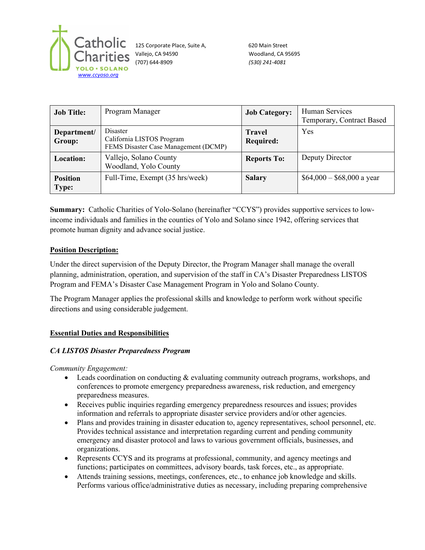

125 Corporate Place, Suite A, 620 Main Street Vallejo, CA 94590 Woodland, CA 95695 (707) 644-8909 *(530) 241-4081*

| <b>Job Title:</b>               | Program Manager                                                               | <b>Job Category:</b>       | Human Services<br>Temporary, Contract Based |
|---------------------------------|-------------------------------------------------------------------------------|----------------------------|---------------------------------------------|
| Department/<br>Group:           | Disaster<br>California LISTOS Program<br>FEMS Disaster Case Management (DCMP) | <b>Travel</b><br>Required: | Yes                                         |
| Location:                       | Vallejo, Solano County<br>Woodland, Yolo County                               | <b>Reports To:</b>         | Deputy Director                             |
| <b>Position</b><br><b>Type:</b> | Full-Time, Exempt (35 hrs/week)                                               | <b>Salary</b>              | $$64,000 - $68,000$ a year                  |

**Summary:** Catholic Charities of Yolo-Solano (hereinafter "CCYS") provides supportive services to lowincome individuals and families in the counties of Yolo and Solano since 1942, offering services that promote human dignity and advance social justice.

## **Position Description:**

Under the direct supervision of the Deputy Director, the Program Manager shall manage the overall planning, administration, operation, and supervision of the staff in CA's Disaster Preparedness LISTOS Program and FEMA's Disaster Case Management Program in Yolo and Solano County.

The Program Manager applies the professional skills and knowledge to perform work without specific directions and using considerable judgement.

### **Essential Duties and Responsibilities**

### *CA LISTOS Disaster Preparedness Program*

*Community Engagement:* 

- Leads coordination on conducting & evaluating community outreach programs, workshops, and conferences to promote emergency preparedness awareness, risk reduction, and emergency preparedness measures.
- Receives public inquiries regarding emergency preparedness resources and issues; provides information and referrals to appropriate disaster service providers and/or other agencies.
- Plans and provides training in disaster education to, agency representatives, school personnel, etc. Provides technical assistance and interpretation regarding current and pending community emergency and disaster protocol and laws to various government officials, businesses, and organizations.
- Represents CCYS and its programs at professional, community, and agency meetings and functions; participates on committees, advisory boards, task forces, etc., as appropriate.
- Attends training sessions, meetings, conferences, etc., to enhance job knowledge and skills. Performs various office/administrative duties as necessary, including preparing comprehensive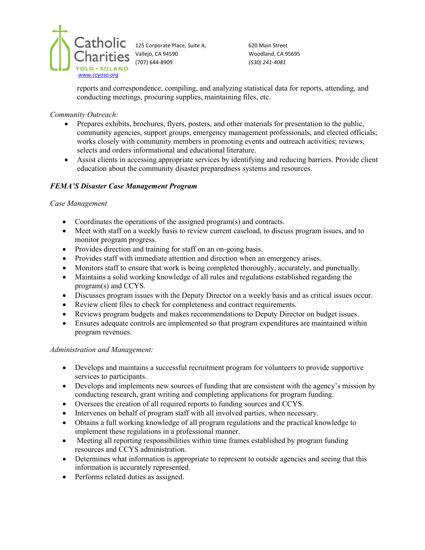

125 Corporate Place, Suite A, 620 Main Street Vallejo, CA 94590 Woodland, CA 95695 (707) 644-8909 *(530) 241-4081*

reports and correspondence, compiling, and analyzing statistical data for reports, attending, and conducting meetings, procuring supplies, maintaining files, etc.

*Community Outreach:*

- Prepares exhibits, brochures, flyers, posters, and other materials for presentation to the public, community agencies, support groups, emergency management professionals, and elected officials; works closely with community members in promoting events and outreach activities; reviews, selects and orders informational and educational literature.
- Assist clients in accessing appropriate services by identifying and reducing barriers. Provide client education about the community disaster preparedness systems and resources.

# *FEMA'S Disaster Case Management Program*

### *Case Management*

- Coordinates the operations of the assigned program(s) and contracts.
- Meet with staff on a weekly basis to review current caseload, to discuss program issues, and to monitor program progress.
- Provides direction and training for staff on an on-going basis.
- Provides staff with immediate attention and direction when an emergency arises.
- Monitors staff to ensure that work is being completed thoroughly, accurately, and punctually.
- Maintains a solid working knowledge of all rules and regulations established regarding the program(s) and CCYS.
- Discusses program issues with the Deputy Director on a weekly basis and as critical issues occur.
- Review client files to check for completeness and contract requirements.
- Reviews program budgets and makes recommendations to Deputy Director on budget issues.
- Ensures adequate controls are implemented so that program expenditures are maintained within program revenues.

### *Administration and Management:*

- Develops and maintains a successful recruitment program for volunteers to provide supportive services to participants.
- Develops and implements new sources of funding that are consistent with the agency's mission by conducting research, grant writing and completing applications for program funding.
- Oversees the creation of all required reports to funding sources and CCYS.
- Intervenes on behalf of program staff with all involved parties, when necessary.
- Obtains a full working knowledge of all program regulations and the practical knowledge to implement these regulations in a professional manner.
- Meeting all reporting responsibilities within time frames established by program funding resources and CCYS administration.
- Determines what information is appropriate to represent to outside agencies and seeing that this information is accurately represented.
- Performs related duties as assigned.